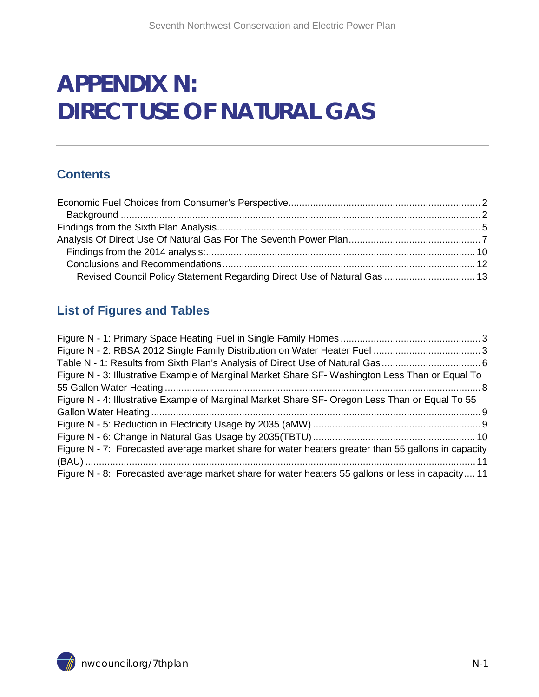# **APPENDIX N: DIRECT USE OF NATURAL GAS**

### **Contents**

| Revised Council Policy Statement Regarding Direct Use of Natural Gas  13 |  |
|--------------------------------------------------------------------------|--|

### **List of Figures and Tables**

| Figure N - 3: Illustrative Example of Marginal Market Share SF- Washington Less Than or Equal To    |  |
|-----------------------------------------------------------------------------------------------------|--|
|                                                                                                     |  |
| Figure N - 4: Illustrative Example of Marginal Market Share SF- Oregon Less Than or Equal To 55     |  |
|                                                                                                     |  |
|                                                                                                     |  |
|                                                                                                     |  |
| Figure N - 7: Forecasted average market share for water heaters greater than 55 gallons in capacity |  |
|                                                                                                     |  |
| Figure N - 8: Forecasted average market share for water heaters 55 gallons or less in capacity 11   |  |

<span id="page-0-1"></span><span id="page-0-0"></span>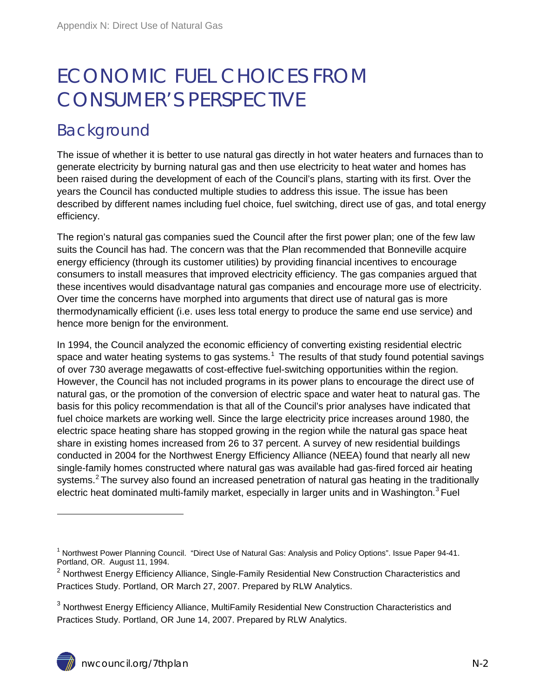# ECONOMIC FUEL CHOICES FROM CONSUMER'S PERSPECTIVE

## <span id="page-1-0"></span>Background

The issue of whether it is better to use natural gas directly in hot water heaters and furnaces than to generate electricity by burning natural gas and then use electricity to heat water and homes has been raised during the development of each of the Council's plans, starting with its first. Over the years the Council has conducted multiple studies to address this issue. The issue has been described by different names including fuel choice, fuel switching, direct use of gas, and total energy efficiency.

The region's natural gas companies sued the Council after the first power plan; one of the few law suits the Council has had. The concern was that the Plan recommended that Bonneville acquire energy efficiency (through its customer utilities) by providing financial incentives to encourage consumers to install measures that improved electricity efficiency. The gas companies argued that these incentives would disadvantage natural gas companies and encourage more use of electricity. Over time the concerns have morphed into arguments that direct use of natural gas is more thermodynamically efficient (i.e. uses less total energy to produce the same end use service) and hence more benign for the environment.

In 1994, the Council analyzed the economic efficiency of converting existing residential electric space and water heating systems to gas systems.<sup>[1](#page-0-1)</sup> The results of that study found potential savings of over 730 average megawatts of cost-effective fuel-switching opportunities within the region. However, the Council has not included programs in its power plans to encourage the direct use of natural gas, or the promotion of the conversion of electric space and water heat to natural gas. The basis for this policy recommendation is that all of the Council's prior analyses have indicated that fuel choice markets are working well. Since the large electricity price increases around 1980, the electric space heating share has stopped growing in the region while the natural gas space heat share in existing homes increased from 26 to 37 percent. A survey of new residential buildings conducted in 2004 for the Northwest Energy Efficiency Alliance (NEEA) found that nearly all new single-family homes constructed where natural gas was available had gas-fired forced air heating systems.<sup>[2](#page-1-1)</sup> The survey also found an increased penetration of natural gas heating in the traditionally electric heat dominated multi-family market, especially in larger units and in Washington.<sup>[3](#page-1-2)</sup> Fuel

 $\overline{a}$ 

<sup>&</sup>lt;sup>1</sup> Northwest Power Planning Council. "Direct Use of Natural Gas: Analysis and Policy Options". Issue Paper 94-41. Portland, OR. August 11, 1994.

<span id="page-1-1"></span><sup>&</sup>lt;sup>2</sup> Northwest Energy Efficiency Alliance, Single-Family Residential New Construction Characteristics and Practices Study. Portland, OR March 27, 2007. Prepared by RLW Analytics.

<span id="page-1-3"></span><span id="page-1-2"></span><sup>&</sup>lt;sup>3</sup> Northwest Energy Efficiency Alliance, MultiFamily Residential New Construction Characteristics and Practices Study. Portland, OR June 14, 2007. Prepared by RLW Analytics.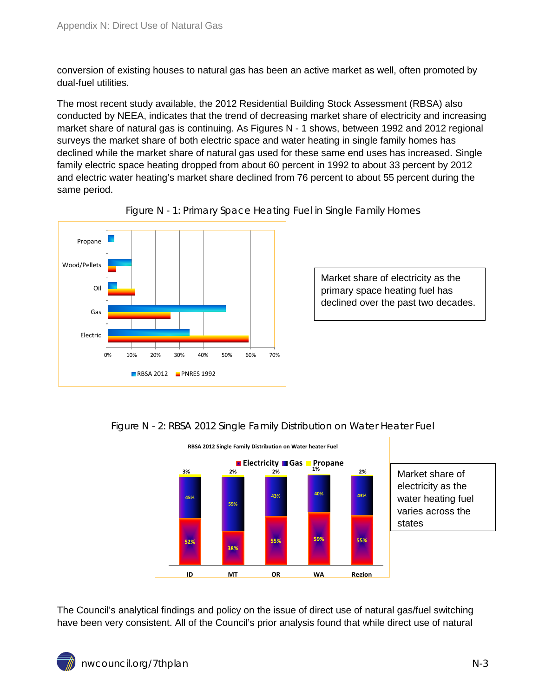conversion of existing houses to natural gas has been an active market as well, often promoted by dual-fuel utilities.

The most recent study available, the 2012 Residential Building Stock Assessment (RBSA) also conducted by NEEA, indicates that the trend of decreasing market share of electricity and increasing market share of natural gas is continuing. As Figures N - 1 shows, between 1992 and 2012 regional surveys the market share of both electric space and water heating in single family homes has declined while the market share of natural gas used for these same end uses has increased. Single family electric space heating dropped from about 60 percent in 1992 to about 33 percent by 2012 and electric water heating's market share declined from 76 percent to about 55 percent during the same period.

<span id="page-2-0"></span>



Market share of electricity as the primary space heating fuel has declined over the past two decades.



#### <span id="page-2-1"></span>Figure N - 2: RBSA 2012 Single Family Distribution on Water Heater Fuel

The Council's analytical findings and policy on the issue of direct use of natural gas/fuel switching have been very consistent. All of the Council's prior analysis found that while direct use of natural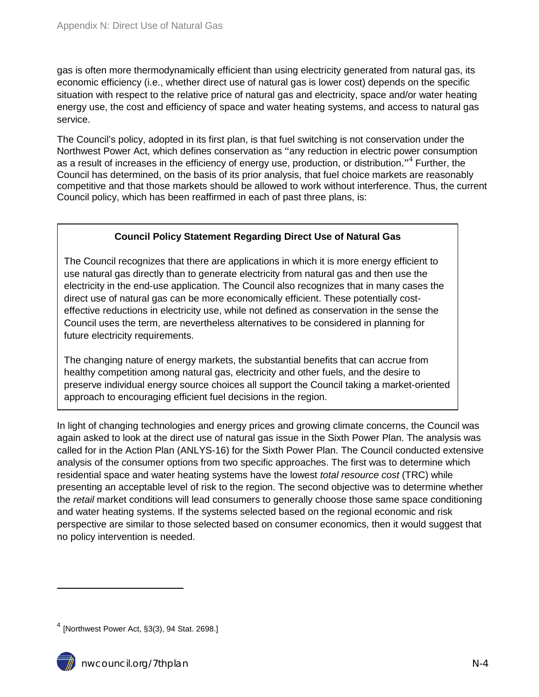gas is often more thermodynamically efficient than using electricity generated from natural gas, its economic efficiency (i.e., whether direct use of natural gas is lower cost) depends on the specific situation with respect to the relative price of natural gas and electricity, space and/or water heating energy use, the cost and efficiency of space and water heating systems, and access to natural gas service.

The Council's policy, adopted in its first plan, is that fuel switching is not conservation under the Northwest Power Act, which defines conservation as "any reduction in electric power consumption as a result of increases in the efficiency of energy use, production, or distribution."<sup>[4](#page-1-3)</sup> Further, the Council has determined, on the basis of its prior analysis, that fuel choice markets are reasonably competitive and that those markets should be allowed to work without interference. Thus, the current Council policy, which has been reaffirmed in each of past three plans, is:

#### **Council Policy Statement Regarding Direct Use of Natural Gas**

The Council recognizes that there are applications in which it is more energy efficient to use natural gas directly than to generate electricity from natural gas and then use the electricity in the end-use application. The Council also recognizes that in many cases the direct use of natural gas can be more economically efficient. These potentially costeffective reductions in electricity use, while not defined as conservation in the sense the Council uses the term, are nevertheless alternatives to be considered in planning for future electricity requirements.

The changing nature of energy markets, the substantial benefits that can accrue from healthy competition among natural gas, electricity and other fuels, and the desire to preserve individual energy source choices all support the Council taking a market-oriented approach to encouraging efficient fuel decisions in the region.

In light of changing technologies and energy prices and growing climate concerns, the Council was again asked to look at the direct use of natural gas issue in the Sixth Power Plan. The analysis was called for in the Action Plan (ANLYS-16) for the Sixth Power Plan. The Council conducted extensive analysis of the consumer options from two specific approaches. The first was to determine which residential space and water heating systems have the lowest *total resource cost* (TRC) while presenting an acceptable level of risk to the region. The second objective was to determine whether the *retail* market conditions will lead consumers to generally choose those same space conditioning and water heating systems. If the systems selected based on the regional economic and risk perspective are similar to those selected based on consumer economics, then it would suggest that no policy intervention is needed.

 $\overline{a}$ 



<span id="page-3-0"></span> $<sup>4</sup>$  [Northwest Power Act, §3(3), 94 Stat. 2698.]</sup>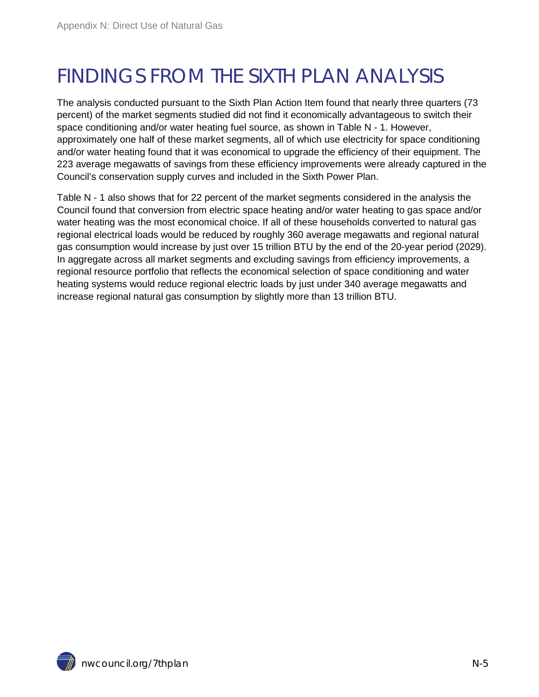# <span id="page-4-0"></span>FINDINGS FROM THE SIXTH PLAN ANALYSIS

The analysis conducted pursuant to the Sixth Plan Action Item found that nearly three quarters (73 percent) of the market segments studied did not find it economically advantageous to switch their space conditioning and/or water heating fuel source, as shown in Table N - 1. However, approximately one half of these market segments, all of which use electricity for space conditioning and/or water heating found that it was economical to upgrade the efficiency of their equipment. The 223 average megawatts of savings from these efficiency improvements were already captured in the Council's conservation supply curves and included in the Sixth Power Plan.

Table N - 1 also shows that for 22 percent of the market segments considered in the analysis the Council found that conversion from electric space heating and/or water heating to gas space and/or water heating was the most economical choice. If all of these households converted to natural gas regional electrical loads would be reduced by roughly 360 average megawatts and regional natural gas consumption would increase by just over 15 trillion BTU by the end of the 20-year period (2029). In aggregate across all market segments and excluding savings from efficiency improvements, a regional resource portfolio that reflects the economical selection of space conditioning and water heating systems would reduce regional electric loads by just under 340 average megawatts and increase regional natural gas consumption by slightly more than 13 trillion BTU.

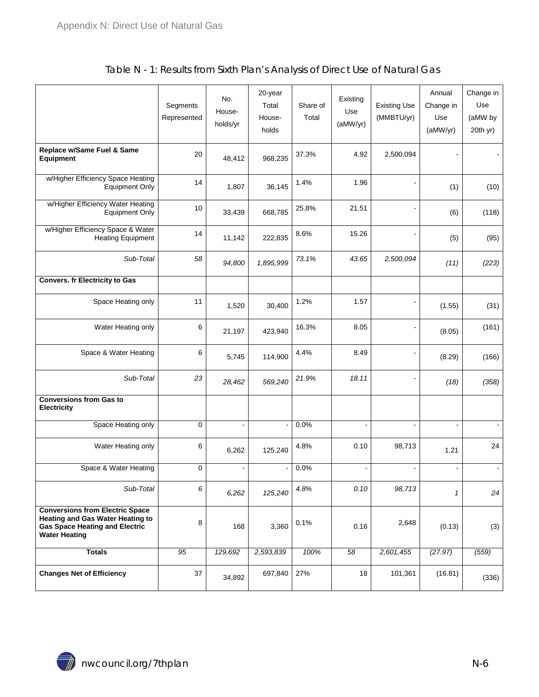<span id="page-5-0"></span>

|                                                                                                                                                    | Segments<br>Represented | No.<br>House-<br>holds/yr | 20-year<br>Total<br>House-<br>holds | Share of<br>Total | Existing<br>Use<br>(aMW/yr) | <b>Existing Use</b><br>(MMBTU/yr) | Annual<br>Change in<br>Use<br>(aMW/yr) | Change in<br>Use<br>(aMW by<br>20th yr) |
|----------------------------------------------------------------------------------------------------------------------------------------------------|-------------------------|---------------------------|-------------------------------------|-------------------|-----------------------------|-----------------------------------|----------------------------------------|-----------------------------------------|
| Replace w/Same Fuel & Same<br>Equipment                                                                                                            | 20                      | 48,412                    | 968,235                             | 37.3%             | 4.92                        | 2,500,094                         |                                        |                                         |
| w/Higher Efficiency Space Heating<br><b>Equipment Only</b>                                                                                         | 14                      | 1,807                     | 36,145                              | 1.4%              | 1.96                        |                                   | (1)                                    | (10)                                    |
| w/Higher Efficiency Water Heating<br>Equipment Only                                                                                                | 10                      | 33,439                    | 668,785                             | 25.8%             | 21.51                       |                                   | (6)                                    | (118)                                   |
| w/Higher Efficiency Space & Water<br><b>Heating Equipment</b>                                                                                      | 14                      | 11,142                    | 222,835                             | 8.6%              | 15.26                       |                                   | (5)                                    | (95)                                    |
| Sub-Total                                                                                                                                          | 58                      | 94,800                    | 1,895,999                           | 73.1%             | 43.65                       | 2,500,094                         | (11)                                   | (223)                                   |
| <b>Convers. fr Electricity to Gas</b>                                                                                                              |                         |                           |                                     |                   |                             |                                   |                                        |                                         |
| Space Heating only                                                                                                                                 | 11                      | 1,520                     | 30,400                              | 1.2%              | 1.57                        |                                   | (1.55)                                 | (31)                                    |
| Water Heating only                                                                                                                                 | 6                       | 21,197                    | 423.940                             | 16.3%             | 8.05                        |                                   | (8.05)                                 | (161)                                   |
| Space & Water Heating                                                                                                                              | 6                       | 5,745                     | 114,900                             | 4.4%              | 8.49                        |                                   | (8.29)                                 | (166)                                   |
| Sub-Total                                                                                                                                          | 23                      | 28,462                    | 569,240                             | 21.9%             | 18.11                       |                                   | (18)                                   | (358)                                   |
| <b>Conversions from Gas to</b><br><b>Electricity</b>                                                                                               |                         |                           |                                     |                   |                             |                                   |                                        |                                         |
| Space Heating only                                                                                                                                 | $\mathbf 0$             | $\overline{a}$            | $\overline{a}$                      | 0.0%              | $\blacksquare$              | ÷,                                | $\overline{a}$                         | $\blacksquare$                          |
| Water Heating only                                                                                                                                 | 6                       | 6,262                     | 125,240                             | 4.8%              | 0.10                        | 98,713                            | 1.21                                   | 24                                      |
| Space & Water Heating                                                                                                                              | $\pmb{0}$               | $\blacksquare$            |                                     | 0.0%              |                             |                                   |                                        |                                         |
| Sub-Total                                                                                                                                          | 6                       | 6,262                     | 125,240                             | 4.8%              | 0.10                        | 98,713                            | 1                                      | 24                                      |
| <b>Conversions from Electric Space</b><br><b>Heating and Gas Water Heating to</b><br><b>Gas Space Heating and Electric</b><br><b>Water Heating</b> | 8                       | 168                       | 3,360                               | 0.1%              | 0.16                        | 2,648                             | (0.13)                                 | (3)                                     |
| <b>Totals</b>                                                                                                                                      | 95                      | 129,692                   | 2,593,839                           | 100%              | 58                          | 2,601,455                         | (27.97)                                | (559)                                   |
| <b>Changes Net of Efficiency</b>                                                                                                                   | 37                      | 34,892                    | 697,840                             | 27%               | 18                          | 101,361                           | (16.81)                                | (336)                                   |

#### Table N - 1: Results from Sixth Plan's Analysis of Direct Use of Natural Gas

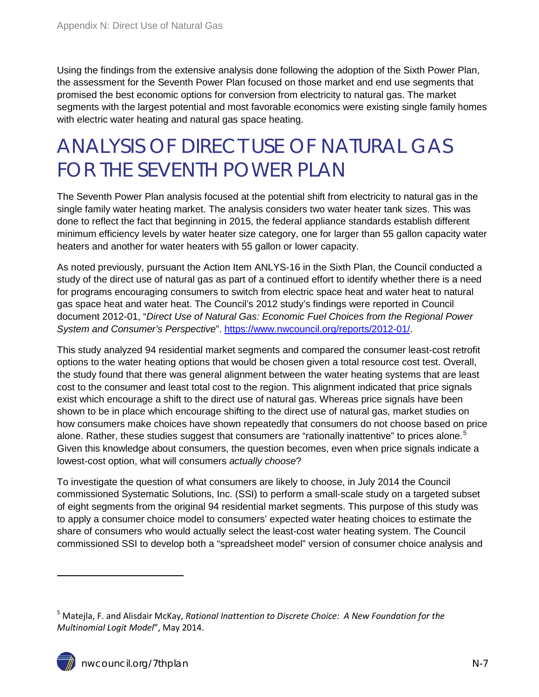Using the findings from the extensive analysis done following the adoption of the Sixth Power Plan, the assessment for the Seventh Power Plan focused on those market and end use segments that promised the best economic options for conversion from electricity to natural gas. The market segments with the largest potential and most favorable economics were existing single family homes with electric water heating and natural gas space heating.

## <span id="page-6-0"></span>ANALYSIS OF DIRECT USE OF NATURAL GAS FOR THE SEVENTH POWER PLAN

The Seventh Power Plan analysis focused at the potential shift from electricity to natural gas in the single family water heating market. The analysis considers two water heater tank sizes. This was done to reflect the fact that beginning in 2015, the federal appliance standards establish different minimum efficiency levels by water heater size category, one for larger than 55 gallon capacity water heaters and another for water heaters with 55 gallon or lower capacity.

As noted previously, pursuant the Action Item ANLYS-16 in the Sixth Plan, the Council conducted a study of the direct use of natural gas as part of a continued effort to identify whether there is a need for programs encouraging consumers to switch from electric space heat and water heat to natural gas space heat and water heat. The Council's 2012 study's findings were reported in Council document 2012-01, "*Direct Use of Natural Gas: Economic Fuel Choices from the Regional Power System and Consumer's Perspective*". [https://www.nwcouncil.org/reports/2012-01/.](https://www.nwcouncil.org/reports/2012-01/)

This study analyzed 94 residential market segments and compared the consumer least-cost retrofit options to the water heating options that would be chosen given a total resource cost test. Overall, the study found that there was general alignment between the water heating systems that are least cost to the consumer and least total cost to the region. This alignment indicated that price signals exist which encourage a shift to the direct use of natural gas. Whereas price signals have been shown to be in place which encourage shifting to the direct use of natural gas, market studies on how consumers make choices have shown repeatedly that consumers do not choose based on price alone. Rather, these studies suggest that consumers are "rationally inattentive" to prices alone.<sup>[5](#page-3-0)</sup> Given this knowledge about consumers, the question becomes, even when price signals indicate a lowest-cost option, what will consumers *actually choose*?

To investigate the question of what consumers are likely to choose, in July 2014 the Council commissioned Systematic Solutions, Inc. (SSI) to perform a small-scale study on a targeted subset of eight segments from the original 94 residential market segments. This purpose of this study was to apply a consumer choice model to consumers' expected water heating choices to estimate the share of consumers who would actually select the least-cost water heating system. The Council commissioned SSI to develop both a "spreadsheet model" version of consumer choice analysis and

-

<sup>5</sup> Matejla, F. and Alisdair McKay, *Rational Inattention to Discrete Choice: A New Foundation for the Multinomial Logit Model*", May 2014.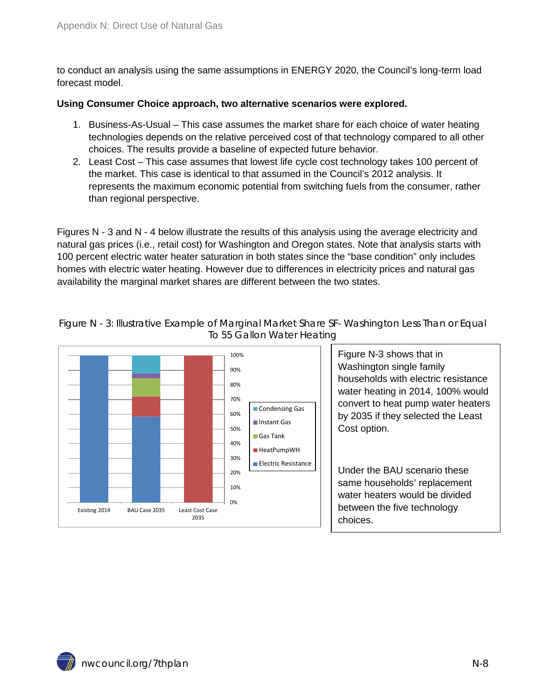to conduct an analysis using the same assumptions in ENERGY 2020, the Council's long-term load forecast model.

#### **Using Consumer Choice approach, two alternative scenarios were explored.**

- 1. Business-As-Usual This case assumes the market share for each choice of water heating technologies depends on the relative perceived cost of that technology compared to all other choices. The results provide a baseline of expected future behavior.
- 2. Least Cost This case assumes that lowest life cycle cost technology takes 100 percent of the market. This case is identical to that assumed in the Council's 2012 analysis. It represents the maximum economic potential from switching fuels from the consumer, rather than regional perspective.

Figures N - 3 and N - 4 below illustrate the results of this analysis using the average electricity and natural gas prices (i.e., retail cost) for Washington and Oregon states. Note that analysis starts with 100 percent electric water heater saturation in both states since the "base condition" only includes homes with electric water heating. However due to differences in electricity prices and natural gas availability the marginal market shares are different between the two states.



<span id="page-7-0"></span>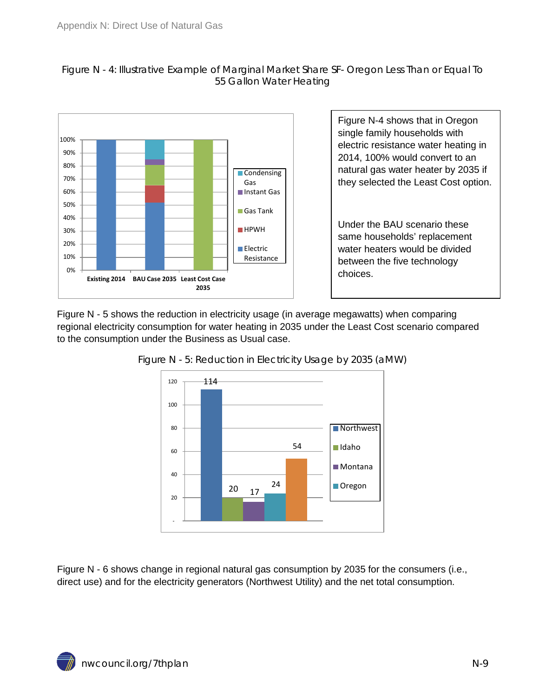<span id="page-8-0"></span>



Figure N-4 shows that in Oregon single family households with electric resistance water heating in 2014, 100% would convert to an natural gas water heater by 2035 if they selected the Least Cost option.

Under the BAU scenario these same households' replacement water heaters would be divided between the five technology choices.

<span id="page-8-1"></span>Figure N - 5 shows the reduction in electricity usage (in average megawatts) when comparing regional electricity consumption for water heating in 2035 under the Least Cost scenario compared to the consumption under the Business as Usual case.



Figure N - 5: Reduction in Electricity Usage by 2035 (aMW)

Figure N - 6 shows change in regional natural gas consumption by 2035 for the consumers (i.e., direct use) and for the electricity generators (Northwest Utility) and the net total consumption.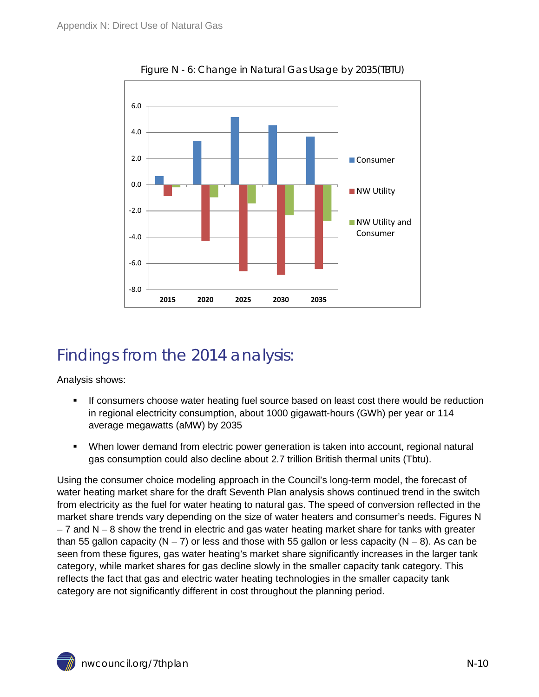<span id="page-9-1"></span>

Figure N - 6: Change in Natural Gas Usage by 2035(TBTU)

## <span id="page-9-0"></span>Findings from the 2014 analysis:

Analysis shows:

- If consumers choose water heating fuel source based on least cost there would be reduction in regional electricity consumption, about 1000 gigawatt-hours (GWh) per year or 114 average megawatts (aMW) by 2035
- When lower demand from electric power generation is taken into account, regional natural gas consumption could also decline about 2.7 trillion British thermal units (Tbtu).

Using the consumer choice modeling approach in the Council's long-term model, the forecast of water heating market share for the draft Seventh Plan analysis shows continued trend in the switch from electricity as the fuel for water heating to natural gas. The speed of conversion reflected in the market share trends vary depending on the size of water heaters and consumer's needs. Figures N  $-7$  and N  $-8$  show the trend in electric and gas water heating market share for tanks with greater than 55 gallon capacity (N – 7) or less and those with 55 gallon or less capacity (N – 8). As can be seen from these figures, gas water heating's market share significantly increases in the larger tank category, while market shares for gas decline slowly in the smaller capacity tank category. This reflects the fact that gas and electric water heating technologies in the smaller capacity tank category are not significantly different in cost throughout the planning period.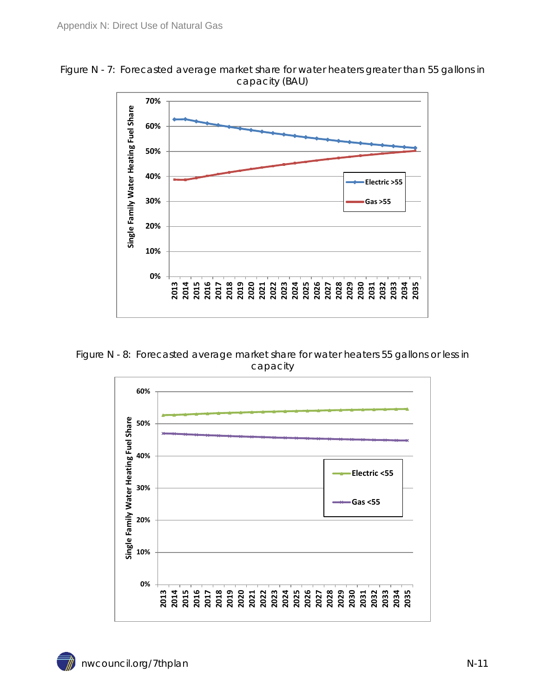<span id="page-10-0"></span>



<span id="page-10-1"></span>Figure N - 8: Forecasted average market share for water heaters 55 gallons or less in capacity

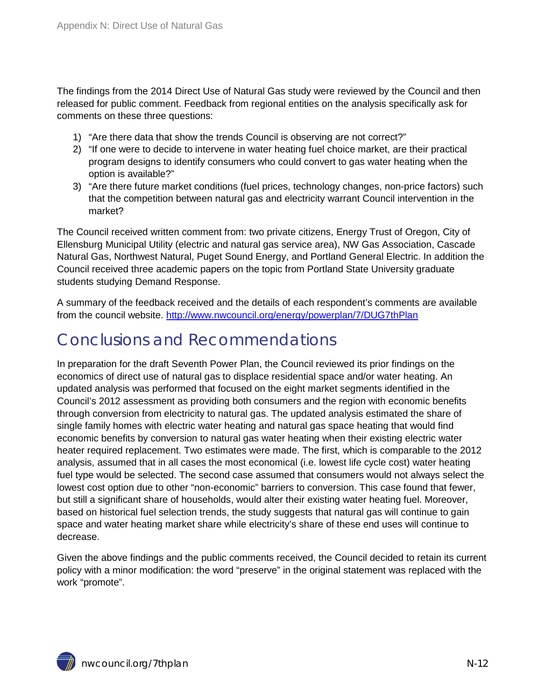The findings from the 2014 Direct Use of Natural Gas study were reviewed by the Council and then released for public comment. Feedback from regional entities on the analysis specifically ask for comments on these three questions:

- 1) "Are there data that show the trends Council is observing are not correct?"
- 2) "If one were to decide to intervene in water heating fuel choice market, are their practical program designs to identify consumers who could convert to gas water heating when the option is available?"
- 3) "Are there future market conditions (fuel prices, technology changes, non-price factors) such that the competition between natural gas and electricity warrant Council intervention in the market?

The Council received written comment from: two private citizens, Energy Trust of Oregon, City of Ellensburg Municipal Utility (electric and natural gas service area), NW Gas Association, Cascade Natural Gas, Northwest Natural, Puget Sound Energy, and Portland General Electric. In addition the Council received three academic papers on the topic from Portland State University graduate students studying Demand Response.

A summary of the feedback received and the details of each respondent's comments are available from the council website.<http://www.nwcouncil.org/energy/powerplan/7/DUG7thPlan>

## <span id="page-11-0"></span>Conclusions and Recommendations

In preparation for the draft Seventh Power Plan, the Council reviewed its prior findings on the economics of direct use of natural gas to displace residential space and/or water heating. An updated analysis was performed that focused on the eight market segments identified in the Council's 2012 assessment as providing both consumers and the region with economic benefits through conversion from electricity to natural gas. The updated analysis estimated the share of single family homes with electric water heating and natural gas space heating that would find economic benefits by conversion to natural gas water heating when their existing electric water heater required replacement. Two estimates were made. The first, which is comparable to the 2012 analysis, assumed that in all cases the most economical (i.e. lowest life cycle cost) water heating fuel type would be selected. The second case assumed that consumers would not always select the lowest cost option due to other "non-economic" barriers to conversion. This case found that fewer, but still a significant share of households, would alter their existing water heating fuel. Moreover, based on historical fuel selection trends, the study suggests that natural gas will continue to gain space and water heating market share while electricity's share of these end uses will continue to decrease.

Given the above findings and the public comments received, the Council decided to retain its current policy with a minor modification: the word "preserve" in the original statement was replaced with the work "promote".